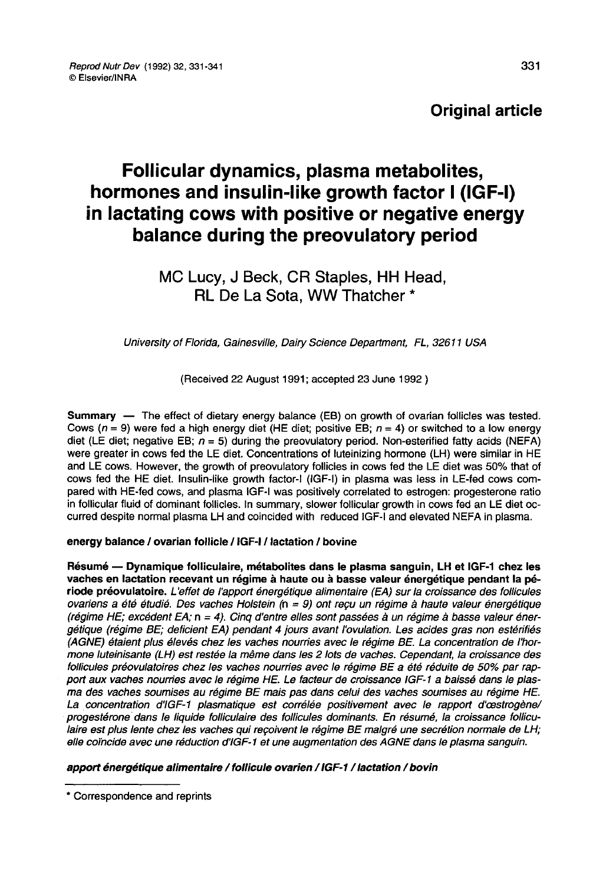# **Original article**

# Follicular dynamics, plasma metabolites, hormones and insulin-like growth factor I (IGF-I) in lactating cows with positive or negative energy balance during the preovulatory period

# MC Lucy, J Beck, CR Staples, HH Head, RL De La Sota, WW Thatcher \*

## University of Florida, Gainesville, Dairy Science Department, FL, 32611 USA

(Received 22 August 1991; accepted 23 June 1992 )

Summary ― The effect of dietary energy balance (EB) on growth of ovarian follicles was tested. Cows ( $n = 9$ ) were fed a high energy diet (HE diet; positive EB;  $n = 4$ ) or switched to a low energy diet (LE diet; negative EB;  $n = 5$ ) during the preovulatory period. Non-esterified fatty acids (NEFA) were greater in cows fed the LE diet. Concentrations of luteinizing hormone (LH) were similar in HE and LE cows. However, the growth of preovulatory follicles in cows fed the LE diet was 50% that of cows fed the HE diet. Insulin-like growth factor-I (IGF-I) in plasma was less in LE-fed cows compared with HE-fed cows, and plasma IGF-I was positively correlated to estrogen: progesterone ratio in follicular fluid of dominant follicles. In summary, slower follicular growth in cows fed an LE diet occurred despite normal plasma LH and coincided with reduced IGF-I and elevated NEFA in plasma.

#### energy balance / ovarian follicle / IGF-I / lactation / bovine

Résumé ― Dynamique folliculaire, métabolites dans le plasma sanguin, LH et IGF-1 chez les vaches en lactation recevant un régime à haute ou à basse valeur énergétique pendant la période préovulatoire. L'effet de l'apport énergétique alimentaire (EA) sur la croissance des follicules ovariens a été étudié. Des vaches Holstein (n = 9) ont reçu un régime à haute valeur énergétique (régime HE; excédent EA; n = 4). Cinq d'entre elles sont passées à un régime à basse valeur énergétique (régime BE; deficient EA) pendant 4 jours avant l'ovulation. Les acides gras non estérifiés (AGNE) étaient plus élevés chez les vaches nourries avec le régime BE. La concentration de l'hormone luteinisante (LH) est restée la même dans les 2 lots de vaches. Cependant, la croissance des follicules préovulatoires chez les vaches nourries avec le régime BE a été réduite de 50% par rapport aux vaches nourries avec le régime HE. Le facteur de croissance IGF-1 a baissé dans le plas-<br>ma des vaches soumises au régime BE mais pas dans celui des vaches soumises au régime HE. La concentration d'IGF-1 plasmatique est corrélée positivement avec le rapport d'œstrogène/ progestérone dans le liquide folliculaire des follicules dominants. En résumé, la croissance folliculaire est plus lente chez les vaches qui reçoivent le régime BE malgré une secrétion normale de LH; elle coïncide avec une réduction d'IGF-1 et une augmentation des AGNE dans le plasma sanguin.

#### apport énergétique alimentaire / follicule ovarien / IGF-1 / lactation / bovin

<sup>\*</sup> Correspondence and reprints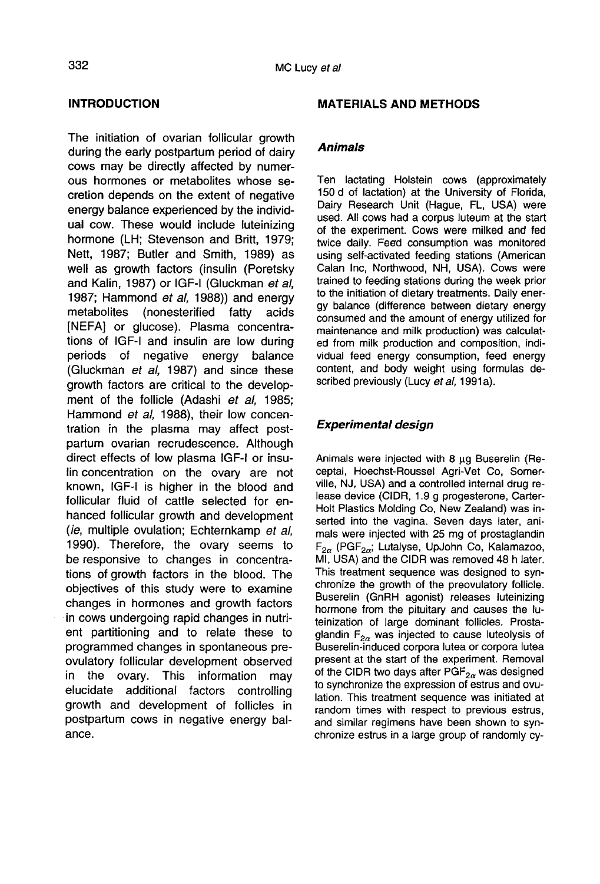#### INTRODUCTION

The initiation of ovarian follicular growth during the early postpartum period of dairy cows may be directly affected by numerous hormones or metabolites whose secretion depends on the extent of negative energy balance experienced by the individual cow. These would include luteinizing hormone (LH; Stevenson and Britt, 1979; Nett, 1987; Butler and Smith, 1989) as well as growth factors (insulin (Poretsky and Kalin, 1987) or IGF-I (Gluckman et al, 1987; Hammond et al, 1988)) and energy<br>metabolites (nonesterified fatty acids (nonesterified fatty acids [NEFA] or glucose). Plasma concentrations of IGF-I and insulin are low during periods of negative energy balance (Gluckman et al, 1987) and since these growth factors are critical to the development of the follicle (Adashi et al, 1985; Hammond et al, 1988), their low concentration in the plasma may affect postpartum ovarian recrudescence. Although direct effects of low plasma IGF-I or insulin concentration on the ovary are not known, IGF-I is higher in the blood and follicular fluid of cattle selected for enhanced follicular growth and development (ie, multiple ovulation; Echternkamp et al, 1990). Therefore, the ovary seems to be responsive to changes in concentrations of growth factors in the blood. The objectives of this study were to examine changes in hormones and growth factors in cows undergoing rapid changes in nutrient partitioning and to relate these to programmed changes in spontaneous preovulatory follicular development observed in the ovary. This information may additional factors controlling growth and development of follicles in postpartum cows in negative energy balance.

#### MATERIALS AND METHODS

#### Animals

Ten lactating Holstein cows (approximately 150 d of lactation) at the University of Florida, Dairy Research Unit (Hague, FL, USA) were used. All cows had a corpus luteum at the start of the experiment. Cows were milked and fed twice daily. Feed consumption was monitored using self-activated feeding stations (American Calan Inc, Northwood, NH, USA). Cows were trained to feeding stations during the week prior to the initiation of dietary treatments. Daily energy balance (difference between dietary energy consumed and the amount of energy utilized for maintenance and milk production) was calculated from milk production and composition, individual feed energy consumption, feed energy content, and body weight using formulas described previously (Lucy et al, 1991a).

## Experimental design

Animals were injected with 8 µg Buserelin (Receptal, Hoechst-Roussel Agri-Vet Co, Somerville, NJ, USA) and a controlled internal drug release device (CIDR, 1.9 g progesterone, Carter-Holt Plastics Molding Co, New Zealand) was inserted into the vagina. Seven days later, animals were injected with 25 mg of prostaglandin  $F_{2\alpha}$  (PGF $_{2\alpha}$ ; Lutalyse, UpJohn Co, Kalamazoo, MI, USA) and the CIDR was removed 48 h later. This treatment sequence was designed to synchronize the growth of the preovulatory follicle. Buserelin (GnRH agonist) releases luteinizing hormone from the pituitary and causes the luteinization of large dominant follicles. Prostaglandin  $F_{2\alpha}$  was injected to cause luteolysis of Buserelin-induced corpora lutea or corpora lutea present at the start of the experiment. Removal<br>of the CIDR two days after  $PGF_{2n}$  was designed to synchronize the expression of estrus and ovulation. This treatment sequence was initiated at random times with respect to previous estrus, and similar regimens have been shown to synchronize estrus in a large group of randomly cy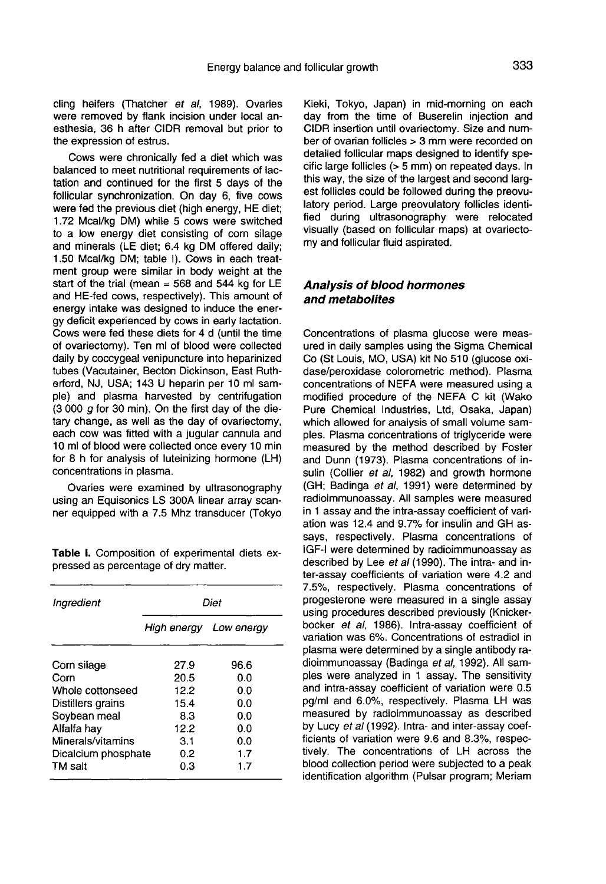cling heifers (Thatcher et al, 1989). Ovaries were removed by flank incision under local anesthesia, 36 h after CIDR removal but prior to the expression of estrus.

Cows were chronically fed a diet which was balanced to meet nutritional requirements of lactation and continued for the first 5 days of the follicular synchronization. On day 6, five cows were fed the previous diet (high energy, HE diet; 1.72 Mcal/kg DM) while 5 cows were switched to a low energy diet consisting of corn silage and minerals (LE diet; 6.4 kg DM offered daily; 1.50 Mcal/kg DM; table I). Cows in each treatment group were similar in body weight at the start of the trial (mean  $=$  568 and 544 kg for LE and HE-fed cows, respectively). This amount of energy intake was designed to induce the energy deficit experienced by cows in early lactation. Cows were fed these diets for 4 d (until the time of ovariectomy). Ten ml of blood were collected daily by coccygeal venipuncture into heparinized tubes (Vacutainer, Becton Dickinson, East Rutherford, NJ, USA; 143 U heparin per 10 ml sample) and plasma harvested by centrifugation  $(3000 g$  for 30 min). On the first day of the dietary change, as well as the day of ovariectomy, each cow was fitted with a jugular cannula and 10 ml of blood were collected once every 10 min for 8 h for analysis of luteinizing hormone (LH) concentrations in plasma.

Ovaries were examined by ultrasonography using an Equisonics LS 300A linear array scanner equipped with a 7.5 Mhz transducer (Tokyo

Table I. Composition of experimental diets expressed as percentage of dry matter.

| Ingredient          | Diet                   |      |  |  |  |  |
|---------------------|------------------------|------|--|--|--|--|
|                     | High energy Low energy |      |  |  |  |  |
| Corn silage         | 27.9                   | 96.6 |  |  |  |  |
| Corn                | 20.5                   | 0.0  |  |  |  |  |
| Whole cottonseed    | 12.2                   | 0.0  |  |  |  |  |
| Distillers grains   | 15.4                   | 0.0  |  |  |  |  |
| Soybean meal        | 8.3                    | 0.0  |  |  |  |  |
| Alfalfa hay         | 12.2                   | 0.0  |  |  |  |  |
| Minerals/vitamins   | 3.1                    | 0.0  |  |  |  |  |
| Dicalcium phosphate | 0.2                    | 1.7  |  |  |  |  |
| TM salt             | 0.3                    | 1.7  |  |  |  |  |

Kieki, Tokyo, Japan) in mid-morning on each day from the time of Buserelin injection and CIDR insertion until ovariectomy. Size and number of ovarian follicles > 3 mm were recorded on detailed follicular maps designed to identify specific large follicles (> 5 mm) on repeated days. In this way, the size of the largest and second larg est follicles could be followed during the preovulatory period. Large preovulatory follicles identified during ultrasonography were relocated visually (based on follicular maps) at ovariectomy and follicular fluid aspirated.

#### Analysis of blood hormones and metabolites

Concentrations of plasma glucose were measured in daily samples using the Sigma Chemical Co (St Louis, MO, USA) kit No 510 (glucose oxidase/peroxidase colorometric method). Plasma concentrations of NEFA were measured using a modified procedure of the NEFA C kit (Wako Pure Chemical Industries, Ltd, Osaka, Japan) which allowed for analysis of small volume samples. Plasma concentrations of triglyceride were measured by the method described by Foster and Dunn (1973). Plasma concentrations of insulin (Collier et al, 1982) and growth hormone (GH; Badinga et al, 1991) were determined by radioimmunoassay. All samples were measured in 1 assay and the intra-assay coefficient of variation was 12.4 and 9.7% for insulin and GH assays, respectively. Plasma concentrations of IGF-I were determined by radioimmunoassay as described by Lee et al (1990). The intra- and inter-assay coefficients of variation were 4.2 and 7.5%, respectively. Plasma concentrations of progesterone were measured in a single assay using procedures described previously (Knickerbocker et al, 1986). Intra-assay coefficient of variation was 6%. Concentrations of estradiol in plasma were determined by a single antibody radioimmunoassay (Badinga et al, 1992). All samples were analyzed in 1 assay. The sensitivity and intra-assay coefficient of variation were 0.5 pg/ml and 6.0%, respectively. Plasma LH was measured by radioimmunoassay as described by Lucy et al (1992). Intra- and inter-assay coefficients of variation were 9.6 and 8.3%, respectively. The concentrations of LH across the blood collection period were subjected to a peak identification algorithm (Pulsar program; Meriam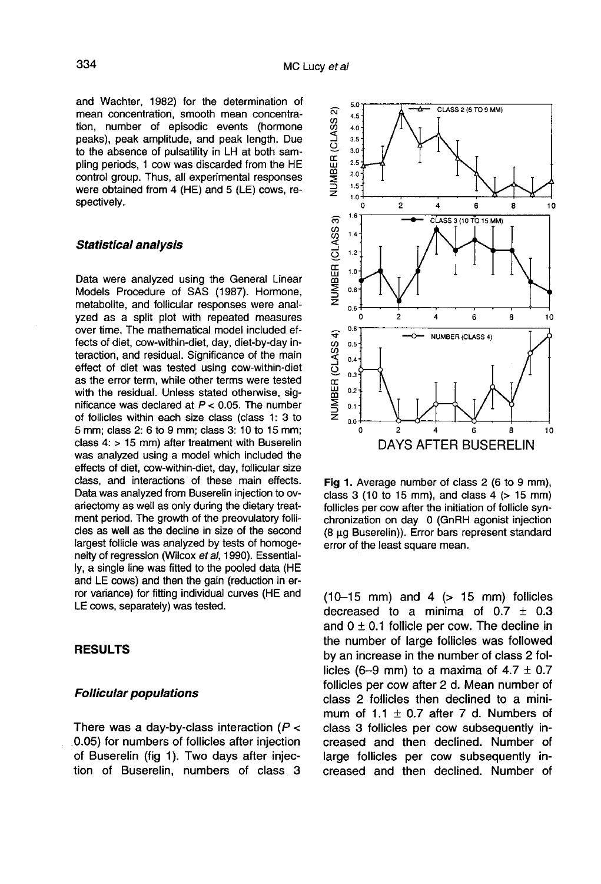and Wachter, 1982) for the determination of mean concentration, smooth mean concentration, number of episodic events (hormone peaks), peak amplitude, and peak length. Due to the absence of pulsatility in LH at both sampling periods, 1 cow was discarded from the HE control group. Thus, all experimental responses were obtained from 4 (HE) and 5 (LE) cows, respectively.

#### Statistical analysis

Data were analyzed using the General Linear Models Procedure of SAS (1987). Hormone, metabolite, and follicular responses were analyzed as a split plot with repeated measures over time. The mathematical model included effects of diet, cow-within-diet, day, diet-by-day interaction, and residual. Significance of the main effect of diet was tested using cow-within-diet as the error term, while other terms were tested with the residual. Unless stated otherwise, significance was declared at  $P < 0.05$ . The number of follicles within each size class (class 1: 3 to 5 mm; class 2: 6 to 9 mm; class 3: 10 to 15 mm; class 4: > 15 mm) after treatment with Buserelin was analyzed using a model which included the effects of diet, cow-within-diet, day, follicular size class, and interactions of these main effects. Data was analyzed from Buserelin injection to ovariectomy as well as only during the dietary treatment period. The growth of the preovulatory follicles as well as the decline in size of the second largest follicle was analyzed by tests of homogeneity of regression (Wilcox et al, 1990). Essentially, a single line was fitted to the pooled data (HE and LE cows) and then the gain (reduction in error variance) for fitting individual curves (HE and LE cows, separately) was tested.

#### RESULTS

#### Follicular populations

There was a day-by-class interaction ( $P <$ 0.05) for numbers of follicles after injection of Buserelin (fig 1). Two days after injection of Buserelin, numbers of class 3



Fig 1. Average number of class 2 (6 to 9 mm), class  $3$  (10 to 15 mm), and class  $4$  ( $> 15$  mm) follicles per cow after the initiation of follicle synchronization on day 0 (GnRH agonist injection (8 μg Buserelin)). Error bars represent standard error of the least square mean.

 $(10-15$  mm) and  $4$   $(> 15$  mm) follicles decreased to a minima of  $0.7 \pm 0.3$ and  $0 \pm 0.1$  follicle per cow. The decline in the number of large follicles was followed by an increase in the number of class 2 follicles (6-9 mm) to a maxima of  $4.7 \pm 0.7$ follicles per cow after 2 d. Mean number of class 2 follicles then declined to a minimum of 1.1  $\pm$  0.7 after 7 d. Numbers of class 3 follicles per cow subsequently increased and then declined. Number of large follicles per cow subsequently increased and then declined. Number of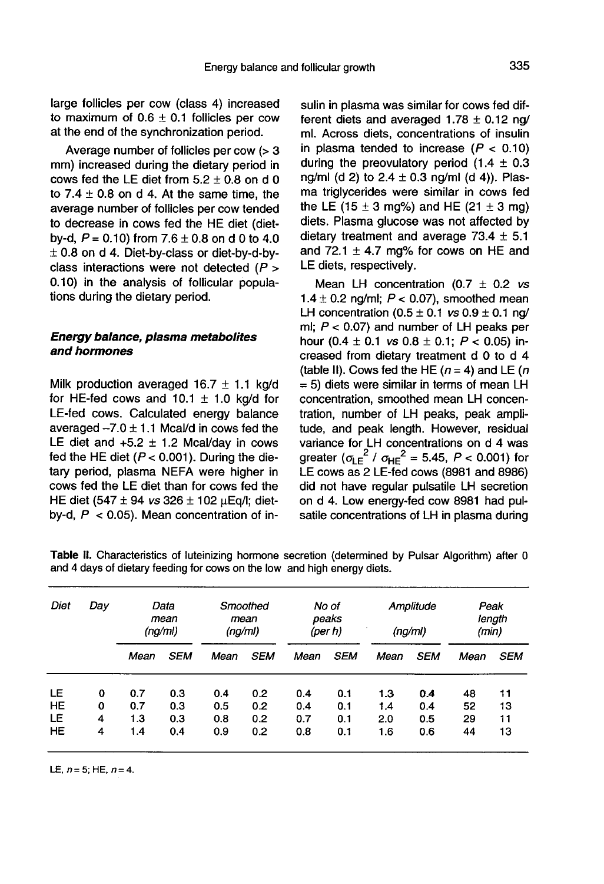335

large follicles per cow (class 4) increased to maximum of  $0.6 \pm 0.1$  follicles per cow at the end of the synchronization period.

Average number of follicles per cow (> 3 mm) increased during the dietary period in cows fed the LE diet from  $5.2 \pm 0.8$  on d 0 to  $7.4 \pm 0.8$  on d 4. At the same time, the average number of follicles per cow tended to decrease in cows fed the HE diet (dietby-d,  $P = 0.10$  from 7.6  $\pm$  0.8 on d 0 to 4.0 ± 0.8 on d 4. Diet-by-class or diet-by-d-byclass interactions were not detected  $(P >$ 0.10) in the analysis of follicular populations during the dietary period.

#### Energy balance, plasma metabolites and hormones

Milk production averaged  $16.7 \pm 1.1$  kg/d for HE-fed cows and 10.1  $\pm$  1.0 kg/d for LE-fed cows. Calculated energy balance averaged  $-7.0 \pm 1.1$  Mcal/d in cows fed the LE diet and  $+5.2 \pm 1.2$  Mcal/day in cows fed the HE diet ( $P < 0.001$ ). During the dietary period, plasma NEFA were higher in cows fed the LE diet than for cows fed the HE diet (547  $\pm$  94 *vs* 326  $\pm$  102  $\mu$ Eq/I; dietby-d,  $P < 0.05$ ). Mean concentration of insulin in plasma was similar for cows fed different diets and averaged  $1.78 \pm 0.12$  ng/ ml. Across diets, concentrations of insulin in plasma tended to increase  $(P < 0.10)$ during the preovulatory period  $(1.4 \pm 0.3)$ ng/ml (d 2) to  $2.4 \pm 0.3$  ng/ml (d 4)). Plasma triglycerides were similar in cows fed the LE (15  $\pm$  3 mg%) and HE (21  $\pm$  3 mg) diets. Plasma glucose was not affected by dietary treatment and average 73.4  $\pm$  5.1 and 72.1  $\pm$  4.7 mg% for cows on HE and LE diets, respectively.

Mean LH concentration (0.7  $\pm$  0.2 vs 1.4  $\pm$  0.2 ng/ml;  $P < 0.07$ ), smoothed mean LH concentration  $(0.5 \pm 0.1 \text{ vs } 0.9 \pm 0.1 \text{ ng}/$ ml;  $P < 0.07$ ) and number of LH peaks per hour (0.4  $\pm$  0.1 *vs* 0.8  $\pm$  0.1; *P* < 0.05) increased from dietary treatment d 0 to d 4 (table II). Cows fed the HE ( $n = 4$ ) and LE ( $n = 1$ ) = 5) diets were similar in terms of mean LH concentration, smoothed mean LH concentration, number of LH peaks, peak amplitude, and peak length. However, residual variance for LH concentrations on d 4 was greater  $(\sigma_{\text{LE}}^2 / \sigma_{\text{HE}}^2 = 5.45, P < 0.001)$  for LE cows as 2 LE-fed cows (8981 and 8986) did not have regular pulsatile LH secretion on d 4. Low energy-fed cow 8981 had pulsatile concentrations of LH in plasma during

| Diet      | Day |      | Data<br>mean<br>(nq/ml) | Smoothed<br>mean<br>(ng/ml) |            | (per h) | No of<br>peaks | (ng/ml) | Amplitude  | Peak<br>(min) | length     |
|-----------|-----|------|-------------------------|-----------------------------|------------|---------|----------------|---------|------------|---------------|------------|
|           |     | Mean | <b>SEM</b>              | Mean                        | <b>SEM</b> | Mean    | <b>SEM</b>     | Mean    | <b>SEM</b> | Mean          | <i>SEM</i> |
| LE        | 0   | 0.7  | 0.3                     | 0.4                         | 0.2        | 0.4     | 0.1            | 1.3     | 0.4        | 48            | 11         |
| HE        | 0   | 0.7  | 0.3                     | 0.5                         | 0.2        | 0.4     | 0.1            | 1.4     | 0.4        | 52            | 13         |
| LE        | 4   | 1.3  | 0.3                     | 0.8                         | 0.2        | 0.7     | 0.1            | 2.0     | 0.5        | 29            | 11         |
| <b>HE</b> | 4   | 1.4  | 0.4                     | 0.9                         | 0.2        | 0.8     | 0.1            | 1.6     | 0.6        | 44            | 13         |

Table II. Characteristics of luteinizing hormone secretion (determined by Pulsar Algorithm) after 0 and 4 days of dietary feeding for cows on the low and high energy diets.

LE,  $n = 5$ ; HE,  $n = 4$ .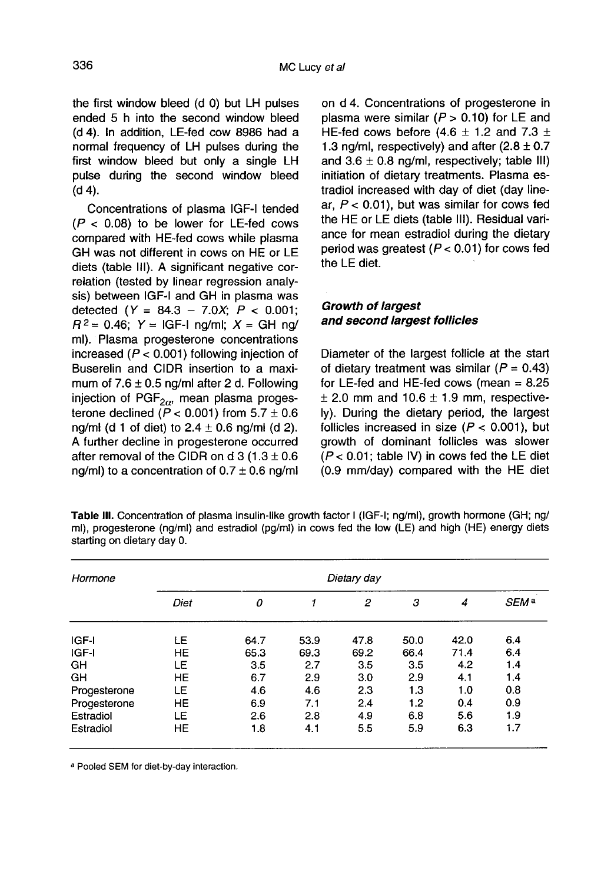the first window bleed (d 0) but LH pulses ended 5 h into the second window bleed (d 4). In addition, LE-fed cow 8986 had a normal frequency of LH pulses during the first window bleed but only a single LH pulse during the second window bleed (d 4).

Concentrations of plasma IGF-I tended  $(P < 0.08)$  to be lower for LE-fed cows compared with HE-fed cows while plasma GH was not different in cows on HE or LE diets (table III). A significant negative correlation (tested by linear regression analysis) between IGF-I and GH in plasma was detected  $(Y = 84.3 - 7.0X; P < 0.001;$  $R^2 = 0.46$ ;  $Y = IGF-I$  ng/ml;  $X = GH$  ng/ ml). Plasma progesterone concentrations increased ( $P < 0.001$ ) following injection of Buserelin and CIDR insertion to a maximum of 7.6  $\pm$  0.5 ng/ml after 2 d. Following injection of PGF<sub>2 $\alpha$ </sub>, mean plasma progesincrease (P < 0.001) functing injection of Buserelin and CIDR insertion to a maximum of 7.6 ± 0.5 ng/ml after 2 d. Following injection of PGF<sub>2 $\alpha$ </sub>, mean plasma proges-<br>terone declined ( $P < 0.001$ ) from 5.7 ± 0.6 ng/ml (d 1 of diet) to  $2.4 \pm 0.6$  ng/ml (d 2). A further decline in progesterone occurred after removal of the CIDR on d 3 (1.3  $\pm$  0.6 ng/ml) to a concentration of  $0.7 \pm 0.6$  ng/ml on d 4. Concentrations of progesterone in plasma were similar  $(P > 0.10)$  for LE and HE-fed cows before  $(4.6 \pm 1.2 \text{ and } 7.3 \pm 1.2)$ 1.3 ng/ml, respectively) and after  $(2.8 \pm 0.7)$ and  $3.6 \pm 0.8$  ng/ml, respectively; table III) initiation of dietary treatments. Plasma estradiol increased with day of diet (day linear,  $P < 0.01$ ), but was similar for cows fed the HE or LE diets (table 111). Residual variance for mean estradiol during the dietary period was greatest ( $P < 0.01$ ) for cows fed the LE diet.

# Growth of largest and second largest follicles

Diameter of the largest follicle at the start of dietary treatment was similar ( $P = 0.43$ ) for LE-fed and HE-fed cows (mean  $= 8.25$  $\pm$  2.0 mm and 10.6  $\pm$  1.9 mm, respectively). During the dietary period, the largest follicles increased in size ( $P < 0.001$ ), but growth of dominant follicles was slower  $(P < 0.01$ ; table IV) in cows fed the LE diet (0.9 mm/day) compared with the HE diet

| <b>Table III.</b> Concentration of plasma insulin-like growth factor I (IGF-I; ng/ml), growth hormone (GH; ng/ |
|----------------------------------------------------------------------------------------------------------------|
| ml), progesterone (ng/ml) and estradiol (pg/ml) in cows fed the low (LE) and high (HE) energy diets            |
| starting on dietary day 0.                                                                                     |

| Hormone      | Dietary day |      |      |      |      |      |                  |  |  |
|--------------|-------------|------|------|------|------|------|------------------|--|--|
|              | Diet        | 0    |      | 2    | з    | 4    | SEM <sup>a</sup> |  |  |
| IGF-I        | LE          | 64.7 | 53.9 | 47.8 | 50.0 | 42.0 | 6.4              |  |  |
| IGF-I        | <b>HE</b>   | 65.3 | 69.3 | 69.2 | 66.4 | 71.4 | 6.4              |  |  |
| GH           | LE          | 3.5  | 2.7  | 3.5  | 3.5  | 4.2  | 1.4              |  |  |
| GH           | HE          | 6.7  | 2.9  | 3.0  | 2.9  | 4.1  | 1.4              |  |  |
| Progesterone | LE          | 4.6  | 4.6  | 2.3  | 1.3  | 1.0  | 0.8              |  |  |
| Progesterone | HE          | 6.9  | 7.1  | 2.4  | 1.2  | 0.4  | 0.9              |  |  |
| Estradiol    | LE          | 2.6  | 2.8  | 4.9  | 6.8  | 5.6  | 1.9              |  |  |
| Estradiol    | <b>HE</b>   | 1.8  | 4.1  | 5.5  | 5.9  | 6.3  | 1.7              |  |  |

a Pooled SEM for diet-by-day interaction.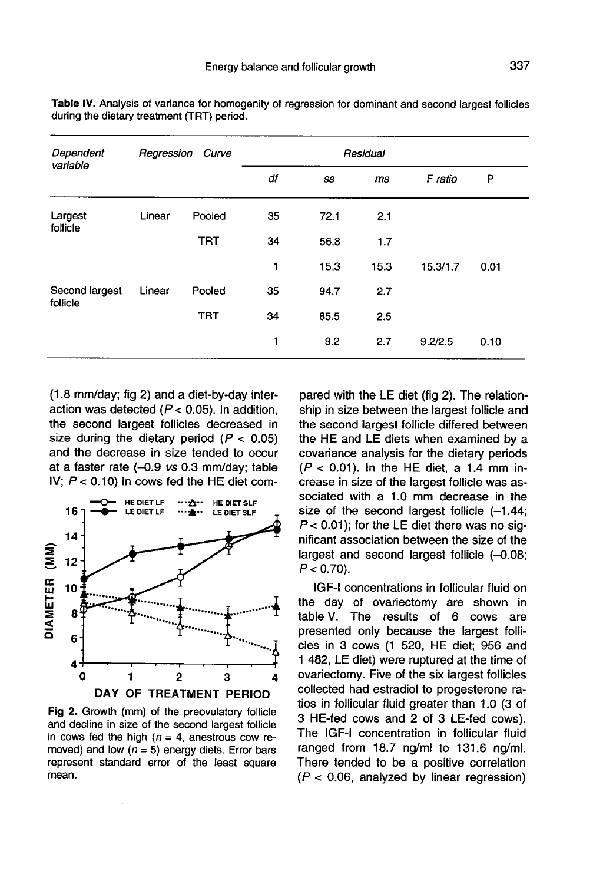| Dependent<br>variable      | Regression Curve |            | Residual |      |      |          |      |  |
|----------------------------|------------------|------------|----------|------|------|----------|------|--|
|                            |                  |            | df       | SS   | ms   | F ratio  | P    |  |
| Largest<br>follicle        | Linear           | Pooled     | 35       | 72.1 | 2.1  |          |      |  |
|                            |                  | <b>TRT</b> | 34       | 56.8 | 1.7  |          |      |  |
|                            |                  |            | 1        | 15.3 | 15.3 | 15.3/1.7 | 0.01 |  |
| Second largest<br>follicle | Linear           | Pooled     | 35       | 94.7 | 2.7  |          |      |  |
|                            |                  | <b>TRT</b> | 34       | 85.5 | 2.5  |          |      |  |
|                            |                  |            | 1        | 9.2  | 2.7  | 9.2/2.5  | 0.10 |  |

Table IV. Analysis of variance for homogenity of regression for dominant and second largest follicles during the dietary treatment (TRT) period.

(1.8 mm/day; fig 2) and a diet-by-day interaction was detected  $(P < 0.05)$ . In addition, the second largest follicles decreased in size during the dietary period  $(P < 0.05)$ and the decrease in size tended to occur at a faster rate  $(-0.9 \text{ vs } 0.3 \text{ mm/day};$  table IV;  $P < 0.10$ ) in cows fed the HE diet com-



Fig 2. Growth (mm) of the preovulatory follicle and decline in size of the second largest follicle in cows fed the high  $(n = 4)$ , anestrous cow removed) and low ( $n = 5$ ) energy diets. Error bars represent standard error of the least square mean.

pared with the LE diet (fig 2). The relationship in size between the largest follicle and the second largest follicle differed between the HE and LE diets when examined by a covariance analysis for the dietary periods  $(P < 0.01)$ . In the HE diet, a 1.4 mm increase in size of the largest follicle was associated with a 1.0 mm decrease in the size of the second largest follicle  $(-1.44)$ ;  $P < 0.01$ ); for the LE diet there was no significant association between the size of the largest and second largest follicle (-0.08;  $P < 0.70$ ).

IGF-I concentrations in follicular fluid on the day of ovariectomy are shown in table V. The results of 6 cows are presented only because the largest follicles in 3 cows (1 520, HE diet; 956 and 1 482, LE diet) were ruptured at the time of ovariectomy. Five of the six largest follicles collected had estradiol to progesterone ratios in follicular fluid greater than 1.0 (3 of 3 HE-fed cows and 2 of 3 LE-fed cows). The IGF-I concentration in follicular fluid ranged from 18.7 ng/ml to 131.6 ng/ml. There tended to be a positive correlation  $(P < 0.06$ , analyzed by linear regression)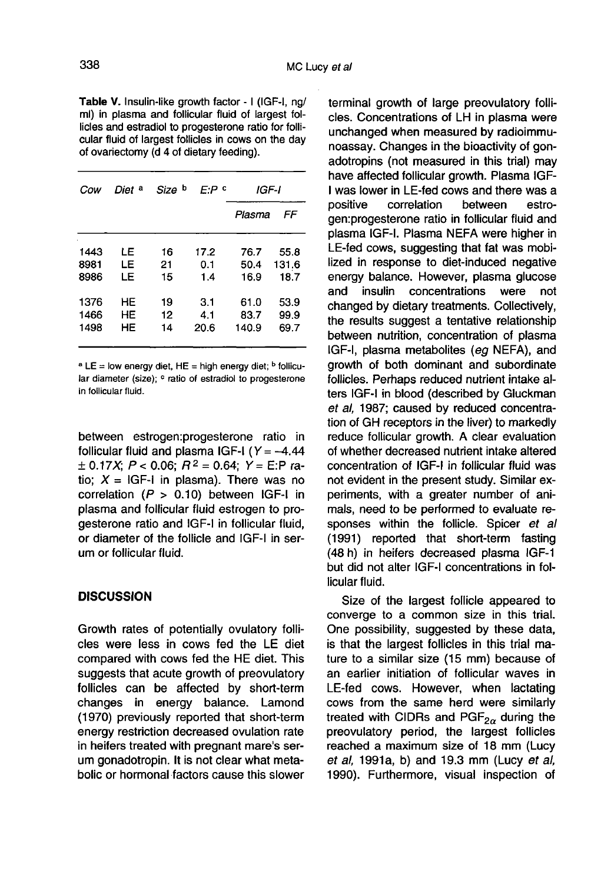Table V. Insulin-like growth factor - I (IGF-I, ng/ ml) in plasma and follicular fluid of largest follicles and estradiol to progesterone ratio for follicular fluid of largest follicles in cows on the day of ovariectomy (d 4 of dietary feeding).

| Cow  | Diet <sup>a</sup> | Size b | F:P º | IGF-I  |       |
|------|-------------------|--------|-------|--------|-------|
|      |                   |        |       | Plasma | FF    |
| 1443 | LE                | 16     | 17.2  | 76.7   | 55.8  |
| 8981 | LE                | 21     | 0.1   | 50.4   | 131.6 |
| 8986 | LE                | 15     | 1.4   | 16.9   | 18.7  |
| 1376 | HЕ                | 19     | 3.1   | 61.0   | 53.9  |
| 1466 | HЕ                | 12     | 4.1   | 83.7   | 99.9  |
| 1498 | HE                | 14     | 20.6  | 140.9  | 69.7  |

<sup>a</sup> LE = low energy diet, HE = high energy diet; <sup>b</sup> follicular diameter (size): <sup>c</sup> ratio of estradiol to progesterone

between estrogen:progesterone ratio in in follicular fluid.<br>between estrogen:progesterone ratio in<br>follicular fluid and plasma IGF-I (Y = -4.44<br> $\pm$  0.17X; P < 0.06; R<sup>2</sup> = 0.64; Y = E:P ratio;  $X = |GF-1|$  in plasma). There was no correlation  $(P > 0.10)$  between IGF-I in plasma and follicular fluid estrogen to progesterone ratio and IGF-I in follicular fluid, or diameter of the follicle and IGF-I in serum or follicular fluid.

#### **DISCUSSION**

Growth rates of potentially ovulatory follicles were less in cows fed the LE diet compared with cows fed the HE diet. This suggests that acute growth of preovulatory follicles can be affected by short-term changes in energy balance. Lamond (1970) previously reported that short-term energy restriction decreased ovulation rate in heifers treated with pregnant mare's serum gonadotropin. It is not clear what metabolic or hormonal factors cause this slower

terminal growth of large preovulatory follicles. Concentrations of LH in plasma were unchanged when measured by radioimmunoassay. Changes in the bioactivity of gonadotropins (not measured in this trial) may have affected follicular growth. Plasma IGF-I was lower in LE-fed cows and there was a positive correlation between estrogen:progesterone ratio in follicular fluid and plasma IGF-I. Plasma NEFA were higher in LE-fed cows, suggesting that fat was mobilized in response to diet-induced negative energy balance. However, plasma glucose<br>and insulin concentrations were not concentrations changed by dietary treatments. Collectively, the results suggest a tentative relationship between nutrition, concentration of plasma IGF-I, plasma metabolites (eg NEFA), and growth of both dominant and subordinate follicles. Perhaps reduced nutrient intake alters IGF-I in blood (described by Gluckman et al, 1987; caused by reduced concentration of GH receptors in the liver) to markedly reduce follicular growth. A clear evaluation of whether decreased nutrient intake altered concentration of IGF-I in follicular fluid was not evident in the present study. Similar experiments, with a greater number of animals, need to be performed to evaluate responses within the follicle. Spicer et all (1991) reported that short-term fasting (48 h) in heifers decreased plasma IGF-1 but did not alter IGF-I concentrations in follicular fluid.

Size of the largest follicle appeared to converge to a common size in this trial. One possibility, suggested by these data, is that the largest follicles in this trial mature to a similar size (15 mm) because of an earlier initiation of follicular waves in LE-fed cows. However, when lactating cows from the same herd were similarly treated with CIDRs and  $PGF_{2\alpha}$  during the preovulatory period, the largest follicles cows from the same herd were similarly preovulatory period, the largest follicles reached a maximum size of 18 mm (Lucy et al, 1991a, b) and 19.3 mm (Lucy et al, 1990). Furthermore, visual inspection of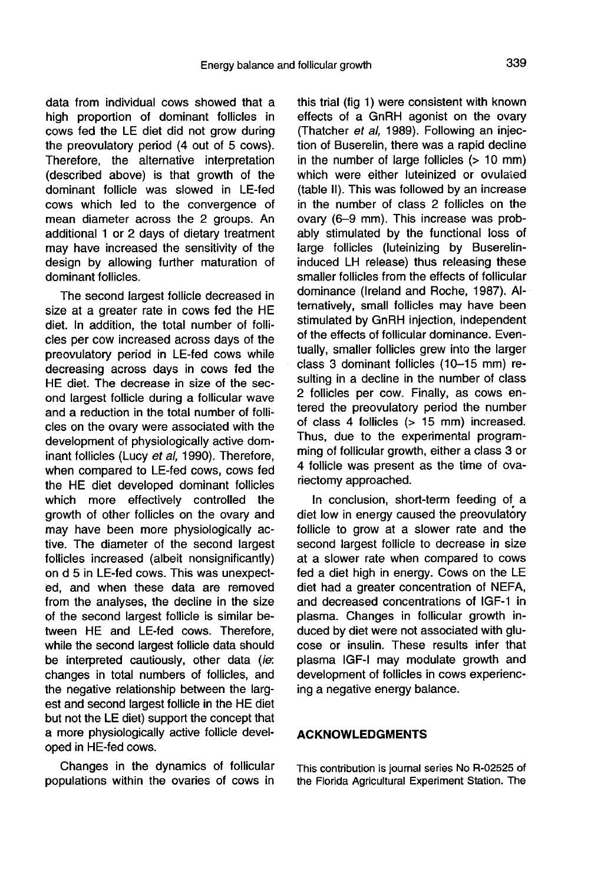data from individual cows showed that a high proportion of dominant follicles in cows fed the LE diet did not grow during the preovulatory period (4 out of 5 cows). Therefore, the alternative interpretation (described above) is that growth of the dominant follicle was slowed in LE-fed cows which led to the convergence of mean diameter across the 2 groups. An additional 1 or 2 days of dietary treatment may have increased the sensitivity of the design by allowing further maturation of dominant follicles.

The second largest follicle decreased in size at a greater rate in cows fed the HE diet. In addition, the total number of follicles per cow increased across days of the preovulatory period in LE-fed cows while decreasing across days in cows fed the HE diet. The decrease in size of the second largest follicle during a follicular wave and a reduction in the total number of follicles on the ovary were associated with the development of physiologically active dominant follicles (Lucy et al, 1990). Therefore, when compared to LE-fed cows, cows fed the HE diet developed dominant follicles which more effectively controlled the growth of other follicles on the ovary and may have been more physiologically active. The diameter of the second largest follicles increased (albeit nonsignificantly) on d 5 in LE-fed cows. This was unexpected, and when these data are removed from the analyses, the decline in the size of the second largest follicle is similar between HE and LE-fed cows. Therefore, while the second largest follicle data should be interpreted cautiously, other data (ie: changes in total numbers of follicles, and the negative relationship between the largest and second largest follicle in the HE diet but not the LE diet) support the concept that a more physiologically active follicle developed in HE-fed cows.

Changes in the dynamics of follicular populations within the ovaries of cows in

this trial (fig 1) were consistent with known effects of a GnRH agonist on the ovary (Thatcher et al, 1989). Following an injection of Buserelin, there was a rapid decline in the number of large follicles (> 10 mm) which were either luteinized or ovulated (table II). This was followed by an increase in the number of class 2 follicles on the ovary (6-9 mm). This increase was probably stimulated by the functional loss of large follicles (luteinizing by Buserelininduced LH release) thus releasing these smaller follicles from the effects of follicular dominance (Ireland and Roche, 1987). Alternatively, small follicles may have been stimulated by GnRH injection, independent of the effects of follicular dominance. Eventually, smaller follicles grew into the larger class 3 dominant follicles (10-15 mm) resulting in a decline in the number of class 2 follicles per cow. Finally, as cows entered the preovulatory period the number of class 4 follicles (> 15 mm) increased. Thus, due to the experimental programming of follicular growth, either a class 3 or 4 follicle was present as the time of ovariectomy approached.

In conclusion, short-term feeding of a diet low in energy caused the preovulatory follicle to grow at a slower rate and the second largest follicle to decrease in size at a slower rate when compared to cows fed a diet high in energy. Cows on the LE diet had a greater concentration of NEFA, and decreased concentrations of IGF-1 in plasma. Changes in follicular growth induced by diet were not associated with glu cose or insulin. These results infer that plasma IGF-I may modulate growth and development of follicles in cows experiencing a negative energy balance.

#### ACKNOWLEDGMENTS

This contribution is journal series No R-02525 of the Florida Agricultural Experiment Station. The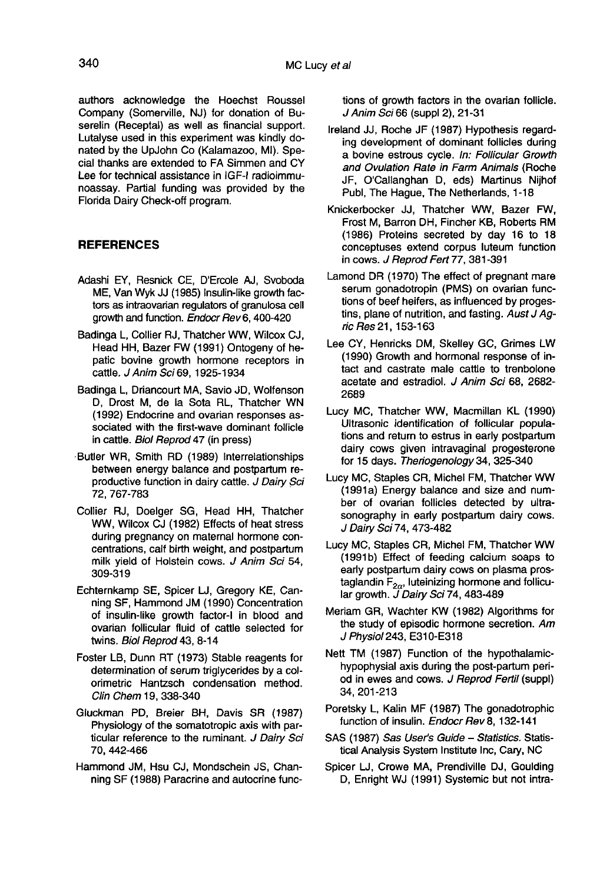authors acknowledge the Hoechst Roussel Company (Somerville, NJ) for donation of Buserelin (Receptal) as well as financial support. Lutalyse used in this experiment was kindly donated by the UpJohn Co (Kalamazoo, MI). Special thanks are extended to FA Simmen and CY Lee for technical assistance in IGF-I radioimmunoassay. Partial funding was provided by the Florida Dairy Check-off program.

## **REFERENCES**

- Adashi EY, Resnick CE, D'Ercole AJ, Svoboda ME, Van Wyk JJ (1985) Insulin-like growth factors as intraovarian regulators of granulosa cell growth and function. Endocr Rev 6, 400-420
- Badinga L, Collier RJ, Thatcher WW, Wilcox CJ, Head HH, Bazer FW (1991) Ontogeny of hepatic bovine growth hormone receptors in cattle. J Anim Sci 69, 1925-1934
- Badinga L, Driancourt MA, Savio JD, Wolfenson D, Drost M, de la Sota RL, Thatcher WN (1992) Endocrine and ovarian responses associated with the first-wave dominant follicle in cattle. Biol Reprod 47 (in press)
- Butler WR, Smith RD (1989) Interrelationships between energy balance and postpartum reproductive function in dairy cattle. *J Dairy Sci*<br>72, 767-783
- Collier RJ, Doelger SG, Head HH, Thatcher WW, Wilcox CJ (1982) Effects of heat stress during pregnancy on maternal hormone concentrations, calf birth weight, and postpartum milk yield of Holstein cows. J Anim Sci 54, 309-319
- Echternkamp SE, Spicer LJ, Gregory KE, Canning SF, Hammond JM (1990) Concentration of insulin-like growth factor-I in blood and ovarian follicular fluid of cattle selected for twins. Biol Reprod 43, 8-14
- Foster LB, Dunn RT (1973) Stable reagents for determination of serum triglycerides by a colorimetric Hantzsch condensation method. Clin Chem 19, 338-340
- Gluckman PD, Breier BH, Davis SR (1987) Physiology of the somatotropic axis with particular reference to the ruminant. J Dairy Sci 70, 442-466
- Hammond JM, Hsu CJ, Mondschein JS, Channing SF (1988) Paracrine and autocrine func-

tions of growth factors in the ovarian follicle. J Anim Sci 66 (suppl 2), 21-31

- Ireland JJ, Roche JF (1987) Hypothesis regarding development of dominant follicles during a bovine estrous cycle. In: Follicular Growth and Ovulation Rate in Farm Animals (Roche JF, O'Callanghan D, eds) Martinus Nijhof Pubi, The Hague, The Netherlands, 1-18
- Knickerbocker JJ, Thatcher WW, Bazer FW, Frost M, Barron DH, Fincher KB, Roberts RM (1986) Proteins secreted by day 16 to 18 conceptuses extend corpus luteum function in cows. J Reprod Fert 77, 381-391
- Lamond DR (1970) The effect of pregnant mare serum gonadotropin (PMS) on ovarian functions of beef heifers, as influenced by progestins, plane of nutrition, and fasting. Aust J Agric Res 21, 153-163
- Lee CY, Henricks DM, Skelley GC, Grimes LW (1990) Growth and hormonal response of intact and castrate male cattle to trenbolone acetate and estradiol. J Anim Sci 68, 2682- 2689
- Lucy MC, Thatcher WW, Macmillan KL (1990) Ultrasonic identification of follicular populations and return to estrus in early postpartum dairy cows given intravaginal progesterone for 15 days. Theriogenology 34, 325-340
- Lucy MC, Staples CR, Michel FM, Thatcher WW (1991a) Energy balance and size and number of ovarian follicles detected by ultrasonography in early postpartum dairy cows. J Dairy Sci 74, 473-482
- Lucy MC, Staples CR, Michel FM, Thatcher WW (1991b) Effect of feeding calcium soaps to early postpartum dairy cows on plasma prostaglandin  $F_{2\alpha}$ , luteinizing hormone and follicular growth.  $J$  Dairy Sci 74, 483-489
- Meriam GR, Wachter KW (1982) Algorithms for the study of episodic hormone secretion. Am J Physiol243, E310-E318
- Nett TM (1987) Function of the hypothalamichypophysial axis during the post-partum period in ewes and cows. J Reprod Fertil (suppl) 34, 201-213
- Poretsky L, Kalin MF (1987) The gonadotrophic function of insulin. Endocr Rev 8, 132-141
- SAS (1987) Sas User's Guide Statistics. Statistical Analysis System Institute Inc, Cary, NC
- Spicer LJ, Crowe MA, Prendiville DJ, Goulding D, Enright WJ (1991) Systemic but not intra-